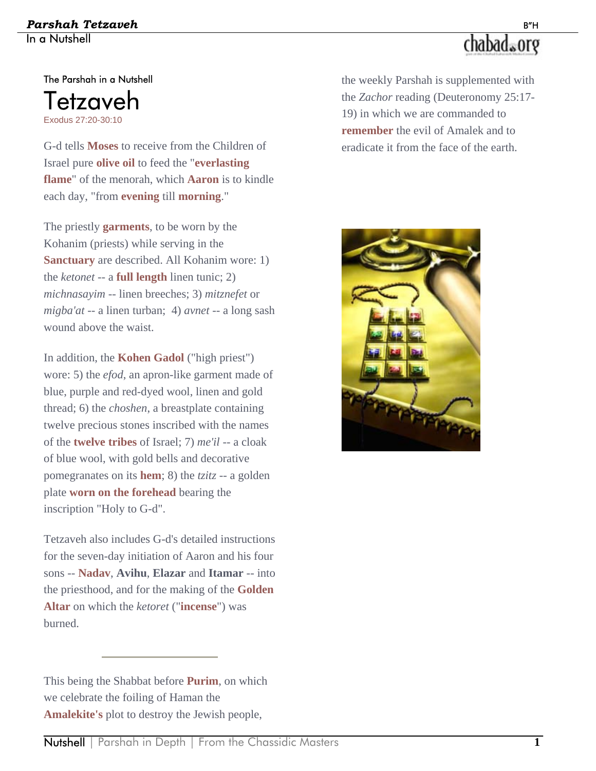#### *Parshah Tetzaveh* B"H In a Nutshell

# chabad.org

The Parshah in a Nutshell Tetzaveh Exodus 27:20-30:10

G-d tells **Moses** to receive from the Children of Israel pure **olive oil** to feed the "**everlasting flame**" of the menorah, which **Aaron** is to kindle each day, "from **evening** till **morning**."

The priestly **garments**, to be worn by the Kohanim (priests) while serving in the **Sanctuary** are described. All Kohanim wore: 1) the *ketonet* -- a **full length** linen tunic; 2) *michnasayim* -- linen breeches; 3) *mitznefet* or *migba'at* -- a linen turban; 4) *avnet* -- a long sash wound above the waist.

In addition, the **Kohen Gadol** ("high priest") wore: 5) the *efod*, an apron-like garment made of blue, purple and red-dyed wool, linen and gold thread; 6) the *choshen*, a breastplate containing twelve precious stones inscribed with the names of the **twelve tribes** of Israel; 7) *me'il* -- a cloak of blue wool, with gold bells and decorative pomegranates on its **hem**; 8) the *tzitz* -- a golden plate **worn on the forehead** bearing the inscription "Holy to G-d".

Tetzaveh also includes G-d's detailed instructions for the seven-day initiation of Aaron and his four sons -- **Nadav**, **Avihu**, **Elazar** and **Itamar** -- into the priesthood, and for the making of the **Golden Altar** on which the *ketoret* ("**incense**") was burned.

the weekly Parshah is supplemented with the *Zachor* reading (Deuteronomy 25:17- 19) in which we are commanded to **remember** the evil of Amalek and to eradicate it from the face of the earth.



This being the Shabbat before **Purim**, on which we celebrate the foiling of Haman the **Amalekite's** plot to destroy the Jewish people,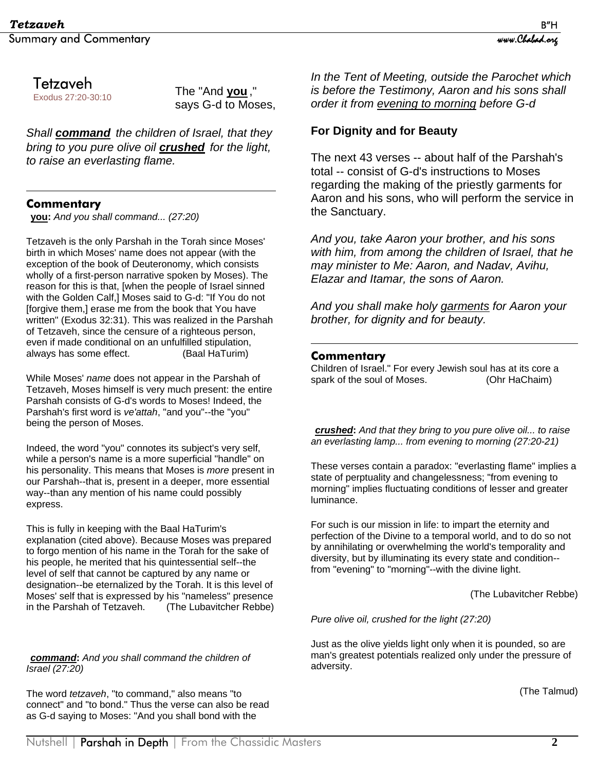Tetzaveh

Exodus 27:20-30:10

The "And **you** ," says G-d to Moses,

*Shall command the children of Israel, that they bring to you pure olive oil crushed for the light, to raise an everlasting flame.*

#### **Commentary**

 $\overline{a}$ 

**you:** *And you shall command... (27:20)* 

Tetzaveh is the only Parshah in the Torah since Moses' birth in which Moses' name does not appear (with the exception of the book of Deuteronomy, which consists wholly of a first-person narrative spoken by Moses). The reason for this is that, [when the people of Israel sinned with the Golden Calf,] Moses said to G-d: "If You do not [forgive them,] erase me from the book that You have written" (Exodus 32:31). This was realized in the Parshah of Tetzaveh, since the censure of a righteous person, even if made conditional on an unfulfilled stipulation, always has some effect. (Baal HaTurim)

While Moses' *name* does not appear in the Parshah of Tetzaveh, Moses himself is very much present: the entire Parshah consists of G-d's words to Moses! Indeed, the Parshah's first word is *ve'attah*, "and you"--the "you" being the person of Moses.

Indeed, the word "you" connotes its subject's very self, while a person's name is a more superficial "handle" on his personality. This means that Moses is *more* present in our Parshah--that is, present in a deeper, more essential way--than any mention of his name could possibly express.

This is fully in keeping with the Baal HaTurim's explanation (cited above). Because Moses was prepared to forgo mention of his name in the Torah for the sake of his people, he merited that his quintessential self--the level of self that cannot be captured by any name or designation--be eternalized by the Torah. It is this level of Moses' self that is expressed by his "nameless" presence in the Parshah of Tetzaveh. (The Lubavitcher Rebbe)

*command***:** *And you shall command the children of Israel (27:20)* 

The word *tetzaveh*, "to command," also means "to connect" and "to bond." Thus the verse can also be read as G-d saying to Moses: "And you shall bond with the

*In the Tent of Meeting, outside the Parochet which is before the Testimony, Aaron and his sons shall order it from evening to morning before G-d*

#### **For Dignity and for Beauty**

The next 43 verses -- about half of the Parshah's total -- consist of G-d's instructions to Moses regarding the making of the priestly garments for Aaron and his sons, who will perform the service in the Sanctuary.

*And you, take Aaron your brother, and his sons with him, from among the children of Israel, that he may minister to Me: Aaron, and Nadav, Avihu, Elazar and Itamar, the sons of Aaron.* 

*And you shall make holy garments for Aaron your brother, for dignity and for beauty.* 

#### **Commentary**

<u>.</u>

Children of Israel." For every Jewish soul has at its core a spark of the soul of Moses. (Ohr HaChaim)

*crushed***:** *And that they bring to you pure olive oil... to raise an everlasting lamp... from evening to morning (27:20-21)* 

These verses contain a paradox: "everlasting flame" implies a state of perptuality and changelessness; "from evening to morning" implies fluctuating conditions of lesser and greater luminance.

For such is our mission in life: to impart the eternity and perfection of the Divine to a temporal world, and to do so not by annihilating or overwhelming the world's temporality and diversity, but by illuminating its every state and condition- from "evening" to "morning"--with the divine light.

(The Lubavitcher Rebbe)

*Pure olive oil, crushed for the light (27:20)* 

Just as the olive yields light only when it is pounded, so are man's greatest potentials realized only under the pressure of adversity.

(The Talmud)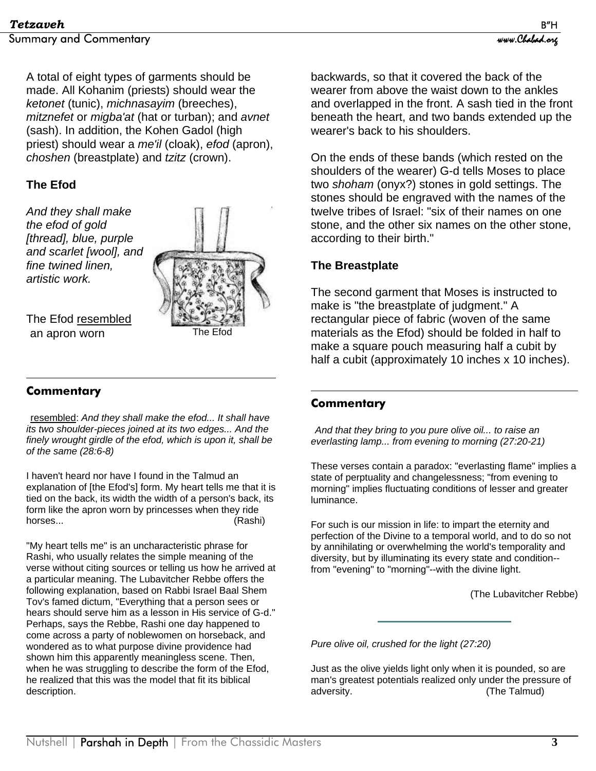A total of eight types of garments should be made. All Kohanim (priests) should wear the *ketonet* (tunic), *michnasayim* (breeches), *mitznefet* or *migba'at* (hat or turban); and *avnet* (sash). In addition, the Kohen Gadol (high priest) should wear a *me'il* (cloak), *efod* (apron), *choshen* (breastplate) and *tzitz* (crown).

#### **The Efod**

*And they shall make the efod of gold [thread], blue, purple and scarlet [wool], and fine twined linen, artistic work.* 



The Efod resembled an apron worn

#### $\overline{a}$ **Commentary**

 resembled: *And they shall make the efod... It shall have its two shoulder-pieces joined at its two edges... And the finely wrought girdle of the efod, which is upon it, shall be of the same (28:6-8)* 

I haven't heard nor have I found in the Talmud an explanation of [the Efod's] form. My heart tells me that it is tied on the back, its width the width of a person's back, its form like the apron worn by princesses when they ride horses... (Rashi)

"My heart tells me" is an uncharacteristic phrase for Rashi, who usually relates the simple meaning of the verse without citing sources or telling us how he arrived at a particular meaning. The Lubavitcher Rebbe offers the following explanation, based on Rabbi Israel Baal Shem Tov's famed dictum, "Everything that a person sees or hears should serve him as a lesson in His service of G-d." Perhaps, says the Rebbe, Rashi one day happened to come across a party of noblewomen on horseback, and wondered as to what purpose divine providence had shown him this apparently meaningless scene. Then, when he was struggling to describe the form of the Efod, he realized that this was the model that fit its biblical description.

backwards, so that it covered the back of the wearer from above the waist down to the ankles and overlapped in the front. A sash tied in the front beneath the heart, and two bands extended up the wearer's back to his shoulders.

On the ends of these bands (which rested on the shoulders of the wearer) G-d tells Moses to place two *shoham* (onyx?) stones in gold settings. The stones should be engraved with the names of the twelve tribes of Israel: "six of their names on one stone, and the other six names on the other stone, according to their birth."

#### **The Breastplate**

The second garment that Moses is instructed to make is "the breastplate of judgment." A rectangular piece of fabric (woven of the same materials as the Efod) should be folded in half to make a square pouch measuring half a cubit by half a cubit (approximately 10 inches x 10 inches).

#### $\overline{a}$ **Commentary**

*And that they bring to you pure olive oil... to raise an everlasting lamp... from evening to morning (27:20-21)* 

These verses contain a paradox: "everlasting flame" implies a state of perptuality and changelessness; "from evening to morning" implies fluctuating conditions of lesser and greater luminance.

For such is our mission in life: to impart the eternity and perfection of the Divine to a temporal world, and to do so not by annihilating or overwhelming the world's temporality and diversity, but by illuminating its every state and condition- from "evening" to "morning"--with the divine light.

(The Lubavitcher Rebbe)

*Pure olive oil, crushed for the light (27:20)* 

Just as the olive yields light only when it is pounded, so are man's greatest potentials realized only under the pressure of adversity. (The Talmud)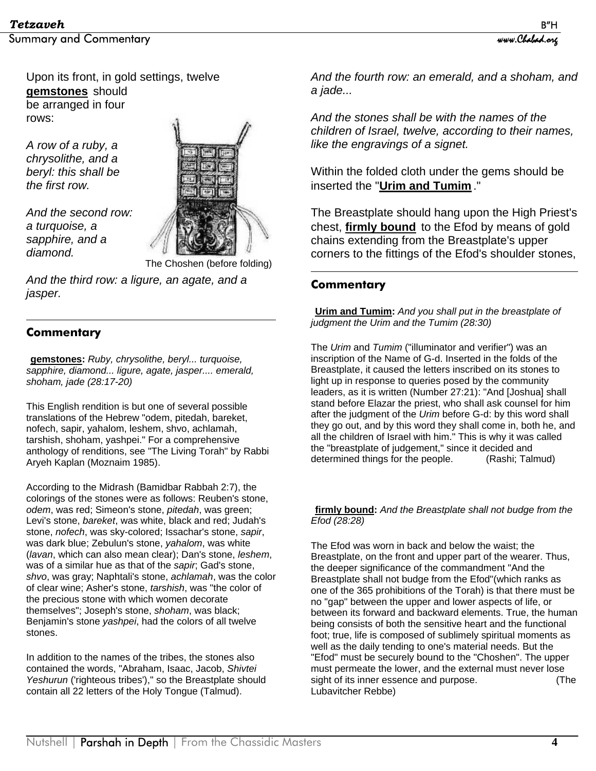Upon its front, in gold settings, twelve **gemstones** should be arranged in four rows:

*A row of a ruby, a chrysolithe, and a beryl: this shall be the first row.* 

*And the second row: a turquoise, a sapphire, and a diamond.* 



The Choshen (before folding)

*And the third row: a ligure, an agate, and a jasper.* 

#### $\overline{a}$ **Commentary**

**gemstones:** *Ruby, chrysolithe, beryl... turquoise, sapphire, diamond... ligure, agate, jasper.... emerald, shoham, jade (28:17-20)* 

This English rendition is but one of several possible translations of the Hebrew "odem, pitedah, bareket, nofech, sapir, yahalom, leshem, shvo, achlamah, tarshish, shoham, yashpei." For a comprehensive anthology of renditions, see "The Living Torah" by Rabbi Aryeh Kaplan (Moznaim 1985).

According to the Midrash (Bamidbar Rabbah 2:7), the colorings of the stones were as follows: Reuben's stone, *odem*, was red; Simeon's stone, *pitedah*, was green; Levi's stone, *bareket*, was white, black and red; Judah's stone, *nofech*, was sky-colored; Issachar's stone, *sapir*, was dark blue; Zebulun's stone, *yahalom*, was white (*lavan*, which can also mean clear); Dan's stone, *leshem*, was of a similar hue as that of the *sapir*; Gad's stone, *shvo*, was gray; Naphtali's stone, *achlamah*, was the color of clear wine; Asher's stone, *tarshish*, was "the color of the precious stone with which women decorate themselves"; Joseph's stone, *shoham*, was black; Benjamin's stone *yashpei*, had the colors of all twelve stones.

In addition to the names of the tribes, the stones also contained the words, "Abraham, Isaac, Jacob, *Shivtei* Yeshurun ('righteous tribes')," so the Breastplate should contain all 22 letters of the Holy Tongue (Talmud).

*And the fourth row: an emerald, and a shoham, and a jade...* 

*And the stones shall be with the names of the children of Israel, twelve, according to their names, like the engravings of a signet.* 

Within the folded cloth under the gems should be inserted the "**Urim and Tumim** ."

The Breastplate should hang upon the High Priest's chest, **firmly bound** to the Efod by means of gold chains extending from the Breastplate's upper corners to the fittings of the Efod's shoulder stones,

#### $\overline{a}$ **Commentary**

**Urim and Tumim:** *And you shall put in the breastplate of judgment the Urim and the Tumim (28:30)* 

The *Urim* and *Tumim* ("illuminator and verifier") was an inscription of the Name of G-d. Inserted in the folds of the Breastplate, it caused the letters inscribed on its stones to light up in response to queries posed by the community leaders, as it is written (Number 27:21): "And [Joshua] shall stand before Elazar the priest, who shall ask counsel for him after the judgment of the *Urim* before G-d: by this word shall they go out, and by this word they shall come in, both he, and all the children of Israel with him." This is why it was called the "breastplate of judgement," since it decided and determined things for the people. (Rashi; Talmud)

**firmly bound:** *And the Breastplate shall not budge from the Efod (28:28)*

The Efod was worn in back and below the waist; the Breastplate, on the front and upper part of the wearer. Thus, the deeper significance of the commandment "And the Breastplate shall not budge from the Efod"(which ranks as one of the 365 prohibitions of the Torah) is that there must be no "gap" between the upper and lower aspects of life, or between its forward and backward elements. True, the human being consists of both the sensitive heart and the functional foot; true, life is composed of sublimely spiritual moments as well as the daily tending to one's material needs. But the "Efod" must be securely bound to the "Choshen". The upper must permeate the lower, and the external must never lose sight of its inner essence and purpose. (The Lubavitcher Rebbe)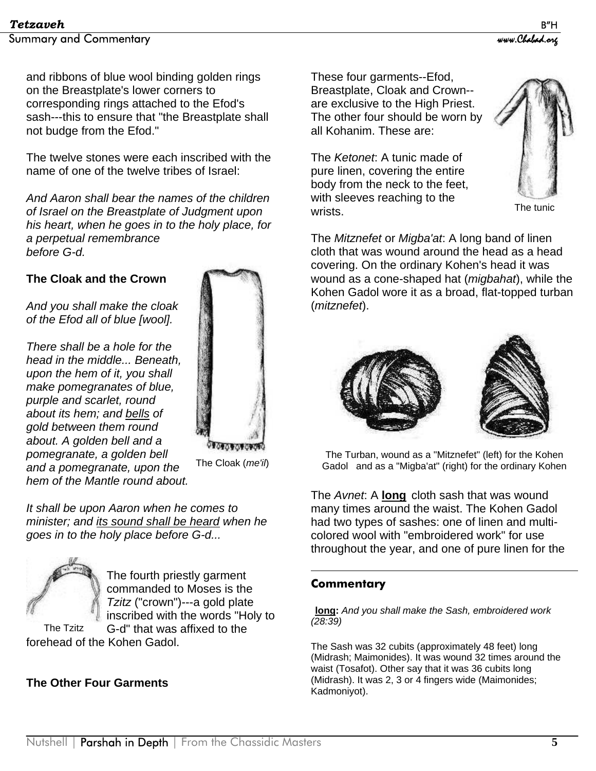and ribbons of blue wool binding golden rings on the Breastplate's lower corners to corresponding rings attached to the Efod's sash---this to ensure that "the Breastplate shall not budge from the Efod."

The twelve stones were each inscribed with the name of one of the twelve tribes of Israel:

*And Aaron shall bear the names of the children of Israel on the Breastplate of Judgment upon his heart, when he goes in to the holy place, for a perpetual remembrance before G-d.* 

#### **The Cloak and the Crown**

*And you shall make the cloak of the Efod all of blue [wool].* 

*There shall be a hole for the head in the middle... Beneath, upon the hem of it, you shall make pomegranates of blue, purple and scarlet, round about its hem; and bells of gold between them round about. A golden bell and a pomegranate, a golden bell and a pomegranate, upon the hem of the Mantle round about.*



The Cloak (*me'il*)

*It shall be upon Aaron when he comes to minister; and its sound shall be heard when he goes in to the holy place before G-d...* 



The fourth priestly garment commanded to Moses is the *Tzitz* ("crown")---a gold plate inscribed with the words "Holy to

G-d" that was affixed to the forehead of the Kohen Gadol. The Tzitz

#### **The Other Four Garments**

These four garments--Efod, Breastplate, Cloak and Crown- are exclusive to the High Priest. The other four should be worn by all Kohanim. These are:

The *Ketonet*: A tunic made of pure linen, covering the entire body from the neck to the feet, with sleeves reaching to the wrists.



The tunic

The *Mitznefet* or *Migba'at*: A long band of linen cloth that was wound around the head as a head covering. On the ordinary Kohen's head it was wound as a cone-shaped hat (*migbahat*), while the Kohen Gadol wore it as a broad, flat-topped turban (*mitznefet*).



The Turban, wound as a "Mitznefet" (left) for the Kohen Gadol and as a "Migba'at" (right) for the ordinary Kohen

The *Avnet*: A **long** cloth sash that was wound many times around the waist. The Kohen Gadol had two types of sashes: one of linen and multicolored wool with "embroidered work" for use throughout the year, and one of pure linen for the

#### **Commentary**

1

**long:** *And you shall make the Sash, embroidered work (28:39)* 

The Sash was 32 cubits (approximately 48 feet) long (Midrash; Maimonides). It was wound 32 times around the waist (Tosafot). Other say that it was 36 cubits long (Midrash). It was 2, 3 or 4 fingers wide (Maimonides; Kadmoniyot).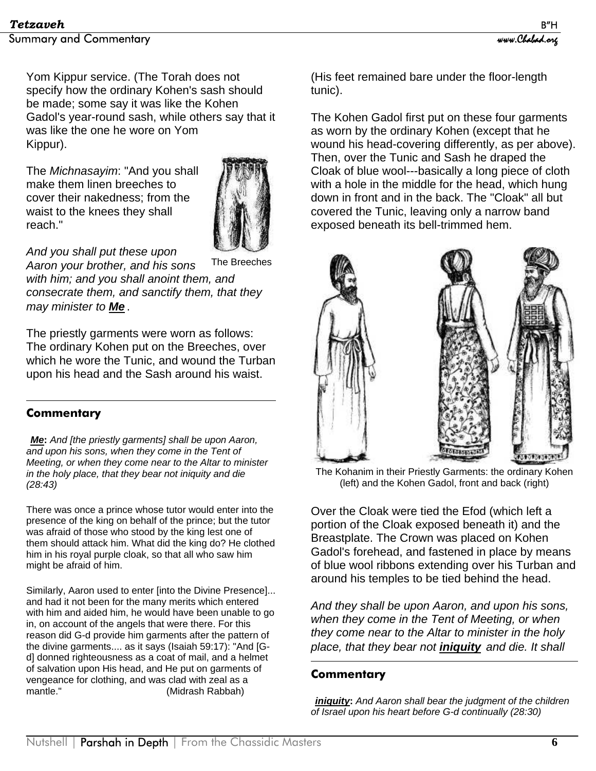Yom Kippur service. (The Torah does not specify how the ordinary Kohen's sash should be made; some say it was like the Kohen Gadol's year-round sash, while others say that it was like the one he wore on Yom Kippur).

The *Michnasayim*: "And you shall make them linen breeches to cover their nakedness; from the waist to the knees they shall reach."



*And you shall put these upon* 

*Aaron your brother, and his sons with him; and you shall anoint them, and consecrate them, and sanctify them, that they may minister to Me* . The Breeches

The priestly garments were worn as follows: The ordinary Kohen put on the Breeches, over which he wore the Tunic, and wound the Turban upon his head and the Sash around his waist.

#### $\overline{a}$ **Commentary**

*Me***:** *And [the priestly garments] shall be upon Aaron, and upon his sons, when they come in the Tent of Meeting, or when they come near to the Altar to minister in the holy place, that they bear not iniquity and die (28:43)* 

There was once a prince whose tutor would enter into the presence of the king on behalf of the prince; but the tutor was afraid of those who stood by the king lest one of them should attack him. What did the king do? He clothed him in his royal purple cloak, so that all who saw him might be afraid of him.

Similarly, Aaron used to enter [into the Divine Presence]... and had it not been for the many merits which entered with him and aided him, he would have been unable to go in, on account of the angels that were there. For this reason did G-d provide him garments after the pattern of the divine garments.... as it says (Isaiah 59:17): "And [Gd] donned righteousness as a coat of mail, and a helmet of salvation upon His head, and He put on garments of vengeance for clothing, and was clad with zeal as a mantle." (Midrash Rabbah)

(His feet remained bare under the floor-length tunic).

The Kohen Gadol first put on these four garments as worn by the ordinary Kohen (except that he wound his head-covering differently, as per above). Then, over the Tunic and Sash he draped the Cloak of blue wool---basically a long piece of cloth with a hole in the middle for the head, which hung down in front and in the back. The "Cloak" all but covered the Tunic, leaving only a narrow band exposed beneath its bell-trimmed hem.



The Kohanim in their Priestly Garments: the ordinary Kohen (left) and the Kohen Gadol, front and back (right)

Over the Cloak were tied the Efod (which left a portion of the Cloak exposed beneath it) and the Breastplate. The Crown was placed on Kohen Gadol's forehead, and fastened in place by means of blue wool ribbons extending over his Turban and around his temples to be tied behind the head.

*And they shall be upon Aaron, and upon his sons, when they come in the Tent of Meeting, or when they come near to the Altar to minister in the holy place, that they bear not iniquity and die. It shall* 

#### **Commentary**

1

*iniquity***:** *And Aaron shall bear the judgment of the children of Israel upon his heart before G-d continually (28:30)*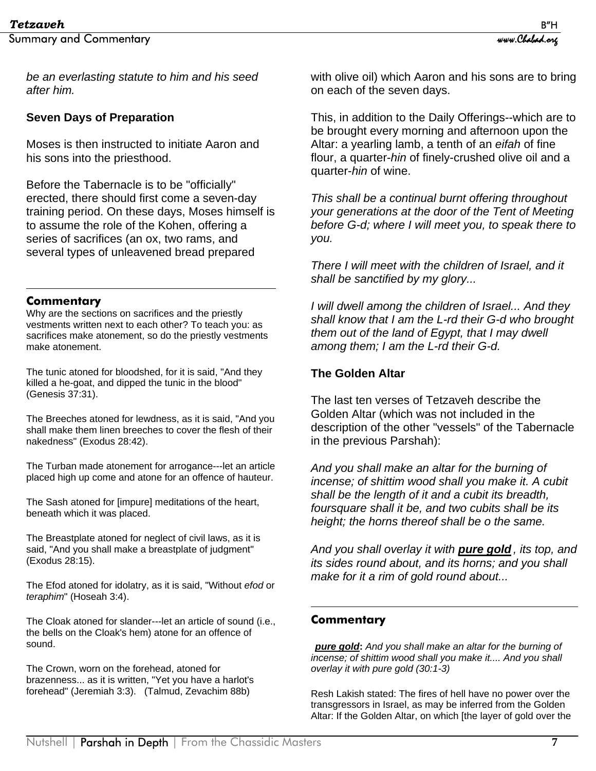*be an everlasting statute to him and his seed after him.*

### **Seven Days of Preparation**

Moses is then instructed to initiate Aaron and his sons into the priesthood.

Before the Tabernacle is to be "officially" erected, there should first come a seven-day training period. On these days, Moses himself is to assume the role of the Kohen, offering a series of sacrifices (an ox, two rams, and several types of unleavened bread prepared

#### **Commentary**

 $\overline{a}$ 

Why are the sections on sacrifices and the priestly vestments written next to each other? To teach you: as sacrifices make atonement, so do the priestly vestments make atonement.

The tunic atoned for bloodshed, for it is said, "And they killed a he-goat, and dipped the tunic in the blood" (Genesis 37:31).

The Breeches atoned for lewdness, as it is said, "And you shall make them linen breeches to cover the flesh of their nakedness" (Exodus 28:42).

The Turban made atonement for arrogance---let an article placed high up come and atone for an offence of hauteur.

The Sash atoned for [impure] meditations of the heart, beneath which it was placed.

The Breastplate atoned for neglect of civil laws, as it is said, "And you shall make a breastplate of judgment" (Exodus 28:15).

The Efod atoned for idolatry, as it is said, "Without *efod* or *teraphim*" (Hoseah 3:4).

The Cloak atoned for slander---let an article of sound (i.e., the bells on the Cloak's hem) atone for an offence of sound.

The Crown, worn on the forehead, atoned for brazenness... as it is written, "Yet you have a harlot's forehead" (Jeremiah 3:3). (Talmud, Zevachim 88b)

with olive oil) which Aaron and his sons are to bring on each of the seven days.

This, in addition to the Daily Offerings--which are to be brought every morning and afternoon upon the Altar: a yearling lamb, a tenth of an *eifah* of fine flour, a quarter-*hin* of finely-crushed olive oil and a quarter-*hin* of wine.

*This shall be a continual burnt offering throughout your generations at the door of the Tent of Meeting before G-d; where I will meet you, to speak there to you.* 

*There I will meet with the children of Israel, and it shall be sanctified by my glory...* 

*I will dwell among the children of Israel... And they shall know that I am the L-rd their G-d who brought them out of the land of Egypt, that I may dwell among them; I am the L-rd their G-d.* 

#### **The Golden Altar**

The last ten verses of Tetzaveh describe the Golden Altar (which was not included in the description of the other "vessels" of the Tabernacle in the previous Parshah):

*And you shall make an altar for the burning of incense; of shittim wood shall you make it. A cubit shall be the length of it and a cubit its breadth, foursquare shall it be, and two cubits shall be its height; the horns thereof shall be o the same.* 

*And you shall overlay it with pure gold , its top, and its sides round about, and its horns; and you shall make for it a rim of gold round about...*

#### **Commentary**

 $\overline{a}$ 

*pure gold***:** *And you shall make an altar for the burning of incense; of shittim wood shall you make it.... And you shall overlay it with pure gold (30:1-3)* 

Resh Lakish stated: The fires of hell have no power over the transgressors in Israel, as may be inferred from the Golden Altar: If the Golden Altar, on which [the layer of gold over the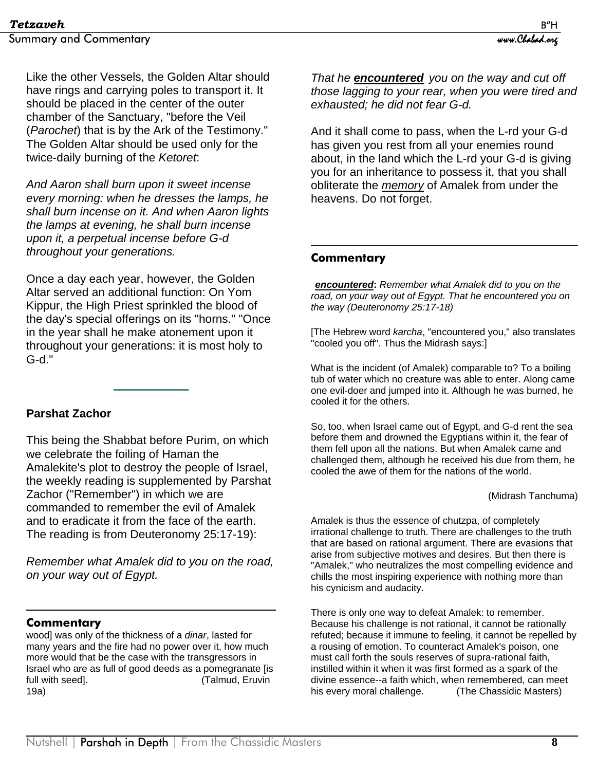Like the other Vessels, the Golden Altar should have rings and carrying poles to transport it. It should be placed in the center of the outer chamber of the Sanctuary, "before the Veil (*Parochet*) that is by the Ark of the Testimony." The Golden Altar should be used only for the twice-daily burning of the *Ketoret*:

*And Aaron shall burn upon it sweet incense every morning: when he dresses the lamps, he shall burn incense on it. And when Aaron lights the lamps at evening, he shall burn incense upon it, a perpetual incense before G-d throughout your generations.* 

Once a day each year, however, the Golden Altar served an additional function: On Yom Kippur, the High Priest sprinkled the blood of the day's special offerings on its "horns." "Once in the year shall he make atonement upon it throughout your generations: it is most holy to G-d."

#### **Parshat Zachor**

This being the Shabbat before Purim, on which we celebrate the foiling of Haman the Amalekite's plot to destroy the people of Israel, the weekly reading is supplemented by Parshat Zachor ("Remember") in which we are commanded to remember the evil of Amalek and to eradicate it from the face of the earth. The reading is from Deuteronomy 25:17-19):

*Remember what Amalek did to you on the road, on your way out of Egypt.* 

#### $\overline{a}$ **Commentary**

wood] was only of the thickness of a *dinar*, lasted for many years and the fire had no power over it, how much more would that be the case with the transgressors in Israel who are as full of good deeds as a pomegranate [is full with seed]. Talmud, Eruvin 19a)

*That he encountered you on the way and cut off those lagging to your rear, when you were tired and exhausted; he did not fear G-d.*

And it shall come to pass, when the L-rd your G-d has given you rest from all your enemies round about, in the land which the L-rd your G-d is giving you for an inheritance to possess it, that you shall obliterate the *memory* of Amalek from under the heavens. Do not forget.

#### **Commentary**

 $\overline{a}$ 

*encountered***:** *Remember what Amalek did to you on the road, on your way out of Egypt. That he encountered you on the way (Deuteronomy 25:17-18)* 

[The Hebrew word *karcha*, "encountered you," also translates "cooled you off". Thus the Midrash says:]

What is the incident (of Amalek) comparable to? To a boiling tub of water which no creature was able to enter. Along came one evil-doer and jumped into it. Although he was burned, he cooled it for the others.

So, too, when Israel came out of Egypt, and G-d rent the sea before them and drowned the Egyptians within it, the fear of them fell upon all the nations. But when Amalek came and challenged them, although he received his due from them, he cooled the awe of them for the nations of the world.

#### (Midrash Tanchuma)

Amalek is thus the essence of chutzpa, of completely irrational challenge to truth. There are challenges to the truth that are based on rational argument. There are evasions that arise from subjective motives and desires. But then there is "Amalek," who neutralizes the most compelling evidence and chills the most inspiring experience with nothing more than his cynicism and audacity.

There is only one way to defeat Amalek: to remember. Because his challenge is not rational, it cannot be rationally refuted; because it immune to feeling, it cannot be repelled by a rousing of emotion. To counteract Amalek's poison, one must call forth the souls reserves of supra-rational faith, instilled within it when it was first formed as a spark of the divine essence--a faith which, when remembered, can meet his every moral challenge. (The Chassidic Masters)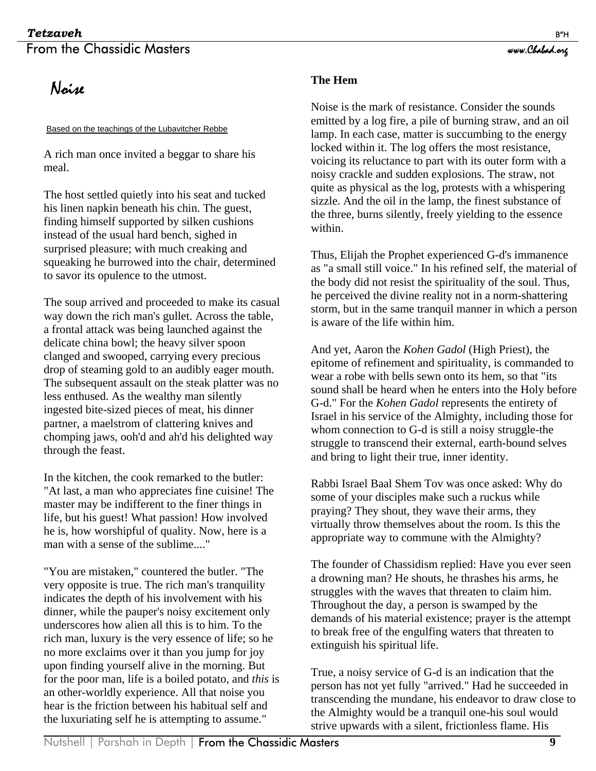### **Tetzaveh** B"H From the Chassidic Masters www.chabad.org

## Noise

#### Based on the teachings of the Lubavitcher Rebbe

A rich man once invited a beggar to share his meal.

The host settled quietly into his seat and tucked his linen napkin beneath his chin. The guest, finding himself supported by silken cushions instead of the usual hard bench, sighed in surprised pleasure; with much creaking and squeaking he burrowed into the chair, determined to savor its opulence to the utmost.

The soup arrived and proceeded to make its casual way down the rich man's gullet. Across the table, a frontal attack was being launched against the delicate china bowl; the heavy silver spoon clanged and swooped, carrying every precious drop of steaming gold to an audibly eager mouth. The subsequent assault on the steak platter was no less enthused. As the wealthy man silently ingested bite-sized pieces of meat, his dinner partner, a maelstrom of clattering knives and chomping jaws, ooh'd and ah'd his delighted way through the feast.

In the kitchen, the cook remarked to the butler: "At last, a man who appreciates fine cuisine! The master may be indifferent to the finer things in life, but his guest! What passion! How involved he is, how worshipful of quality. Now, here is a man with a sense of the sublime...."

"You are mistaken," countered the butler. "The very opposite is true. The rich man's tranquility indicates the depth of his involvement with his dinner, while the pauper's noisy excitement only underscores how alien all this is to him. To the rich man, luxury is the very essence of life; so he no more exclaims over it than you jump for joy upon finding yourself alive in the morning. But for the poor man, life is a boiled potato, and *this* is an other-worldly experience. All that noise you hear is the friction between his habitual self and the luxuriating self he is attempting to assume."

#### **The Hem**

Noise is the mark of resistance. Consider the sounds emitted by a log fire, a pile of burning straw, and an oil lamp. In each case, matter is succumbing to the energy locked within it. The log offers the most resistance, voicing its reluctance to part with its outer form with a noisy crackle and sudden explosions. The straw, not quite as physical as the log, protests with a whispering sizzle. And the oil in the lamp, the finest substance of the three, burns silently, freely yielding to the essence within.

Thus, Elijah the Prophet experienced G-d's immanence as "a small still voice." In his refined self, the material of the body did not resist the spirituality of the soul. Thus, he perceived the divine reality not in a norm-shattering storm, but in the same tranquil manner in which a person is aware of the life within him.

And yet, Aaron the *Kohen Gadol* (High Priest), the epitome of refinement and spirituality, is commanded to wear a robe with bells sewn onto its hem, so that "its sound shall be heard when he enters into the Holy before G-d." For the *Kohen Gadol* represents the entirety of Israel in his service of the Almighty, including those for whom connection to G-d is still a noisy struggle-the struggle to transcend their external, earth-bound selves and bring to light their true, inner identity.

Rabbi Israel Baal Shem Tov was once asked: Why do some of your disciples make such a ruckus while praying? They shout, they wave their arms, they virtually throw themselves about the room. Is this the appropriate way to commune with the Almighty?

The founder of Chassidism replied: Have you ever seen a drowning man? He shouts, he thrashes his arms, he struggles with the waves that threaten to claim him. Throughout the day, a person is swamped by the demands of his material existence; prayer is the attempt to break free of the engulfing waters that threaten to extinguish his spiritual life.

True, a noisy service of G-d is an indication that the person has not yet fully "arrived." Had he succeeded in transcending the mundane, his endeavor to draw close to the Almighty would be a tranquil one-his soul would strive upwards with a silent, frictionless flame. His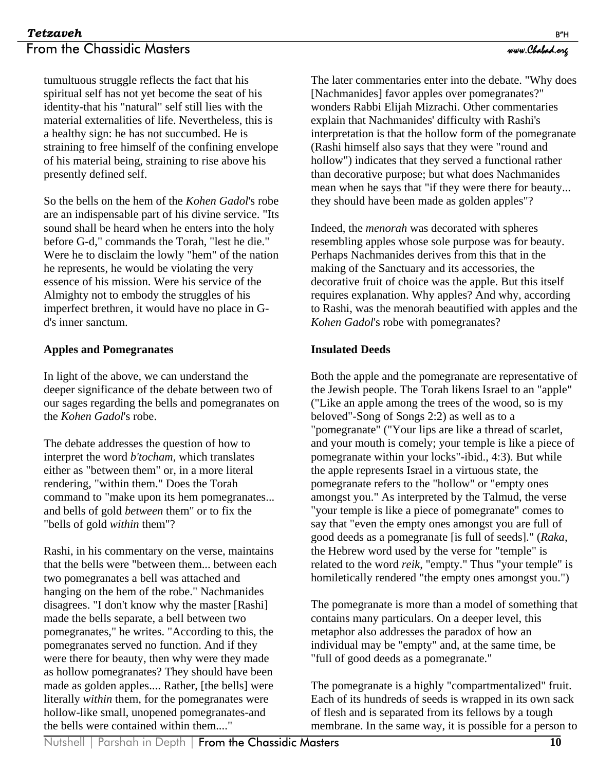#### **Tetzaveh** B"H From the Chassidic Masters www.chabad.org

tumultuous struggle reflects the fact that his spiritual self has not yet become the seat of his identity-that his "natural" self still lies with the material externalities of life. Nevertheless, this is a healthy sign: he has not succumbed. He is straining to free himself of the confining envelope of his material being, straining to rise above his presently defined self.

So the bells on the hem of the *Kohen Gadol*'s robe are an indispensable part of his divine service. "Its sound shall be heard when he enters into the holy before G-d," commands the Torah, "lest he die." Were he to disclaim the lowly "hem" of the nation he represents, he would be violating the very essence of his mission. Were his service of the Almighty not to embody the struggles of his imperfect brethren, it would have no place in Gd's inner sanctum.

#### **Apples and Pomegranates**

In light of the above, we can understand the deeper significance of the debate between two of our sages regarding the bells and pomegranates on the *Kohen Gadol*'s robe.

The debate addresses the question of how to interpret the word *b'tocham*, which translates either as "between them" or, in a more literal rendering, "within them." Does the Torah command to "make upon its hem pomegranates... and bells of gold *between* them" or to fix the "bells of gold *within* them"?

Rashi, in his commentary on the verse, maintains that the bells were "between them... between each two pomegranates a bell was attached and hanging on the hem of the robe." Nachmanides disagrees. "I don't know why the master [Rashi] made the bells separate, a bell between two pomegranates," he writes. "According to this, the pomegranates served no function. And if they were there for beauty, then why were they made as hollow pomegranates? They should have been made as golden apples.... Rather, [the bells] were literally *within* them, for the pomegranates were hollow-like small, unopened pomegranates-and the bells were contained within them...."

The later commentaries enter into the debate. "Why does [Nachmanides] favor apples over pomegranates?" wonders Rabbi Elijah Mizrachi. Other commentaries explain that Nachmanides' difficulty with Rashi's interpretation is that the hollow form of the pomegranate (Rashi himself also says that they were "round and hollow") indicates that they served a functional rather than decorative purpose; but what does Nachmanides mean when he says that "if they were there for beauty... they should have been made as golden apples"?

Indeed, the *menorah* was decorated with spheres resembling apples whose sole purpose was for beauty. Perhaps Nachmanides derives from this that in the making of the Sanctuary and its accessories, the decorative fruit of choice was the apple. But this itself requires explanation. Why apples? And why, according to Rashi, was the menorah beautified with apples and the *Kohen Gadol*'s robe with pomegranates?

#### **Insulated Deeds**

Both the apple and the pomegranate are representative of the Jewish people. The Torah likens Israel to an "apple" ("Like an apple among the trees of the wood, so is my beloved"-Song of Songs 2:2) as well as to a "pomegranate" ("Your lips are like a thread of scarlet, and your mouth is comely; your temple is like a piece of pomegranate within your locks"-ibid., 4:3). But while the apple represents Israel in a virtuous state, the pomegranate refers to the "hollow" or "empty ones amongst you." As interpreted by the Talmud, the verse "your temple is like a piece of pomegranate" comes to say that "even the empty ones amongst you are full of good deeds as a pomegranate [is full of seeds]." (*Raka*, the Hebrew word used by the verse for "temple" is related to the word *reik*, "empty." Thus "your temple" is homiletically rendered "the empty ones amongst you.")

The pomegranate is more than a model of something that contains many particulars. On a deeper level, this metaphor also addresses the paradox of how an individual may be "empty" and, at the same time, be "full of good deeds as a pomegranate."

The pomegranate is a highly "compartmentalized" fruit. Each of its hundreds of seeds is wrapped in its own sack of flesh and is separated from its fellows by a tough membrane. In the same way, it is possible for a person to